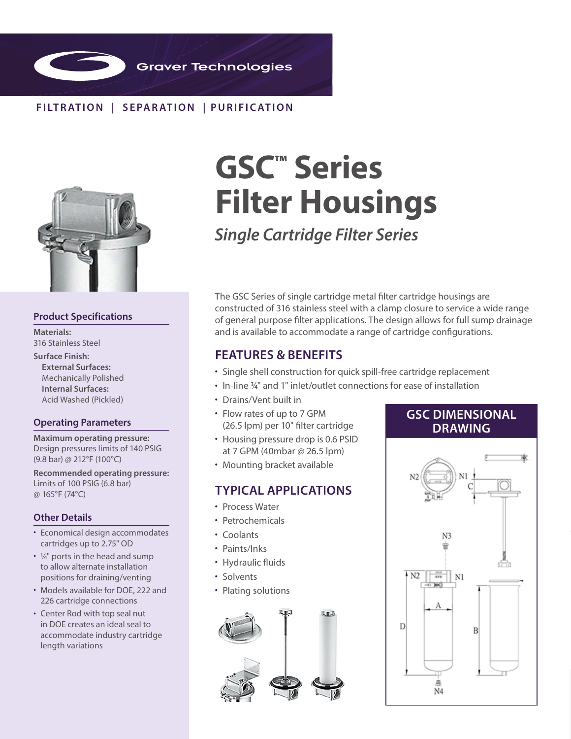

## **FILTR ATION | SEPAR ATION | PURIFIC ATION**



## **Product Specifications**

**Materials:** 316 Stainless Steel

**Surface Finish: External Surfaces:** Mechanically Polished **Internal Surfaces:** Acid Washed (Pickled)

### **Operating Parameters**

**Maximum operating pressure:**  Design pressures limits of 140 PSIG (9.8 bar) @ 212°F (100°C)

**Recommended operating pressure:** Limits of 100 PSIG (6.8 bar) @ 165°F (74°C)

## **Other Details**

- Economical design accommodates cartridges up to 2.75" OD
- $\cdot$  1/4" ports in the head and sump to allow alternate installation positions for draining/venting
- Models available for DOE, 222 and 226 cartridge connections
- Center Rod with top seal nut in DOE creates an ideal seal to accommodate industry cartridge length variations

# **GSC™ Series Filter Housings**

*Single Cartridge Filter Series*

The GSC Series of single cartridge metal filter cartridge housings are constructed of 316 stainless steel with a clamp closure to service a wide range of general purpose filter applications. The design allows for full sump drainage and is available to accommodate a range of cartridge configurations.

## **FEATURES & BENEFITS**

- Single shell construction for quick spill-free cartridge replacement
- In-line ¾" and 1" inlet/outlet connections for ease of installation
- Drains/Vent built in
- Flow rates of up to 7 GPM (26.5 lpm) per 10" filter cartridge
- Housing pressure drop is 0.6 PSID at 7 GPM (40mbar @ 26.5 lpm)
- Mounting bracket available

## **TYPICAL APPLICATIONS**

- Process Water
- Petrochemicals
- Coolants
- Paints/Inks
- Hydraulic fluids
- Solvents
- Plating solutions



# **GSC DIMENSIONAL DRAWING**